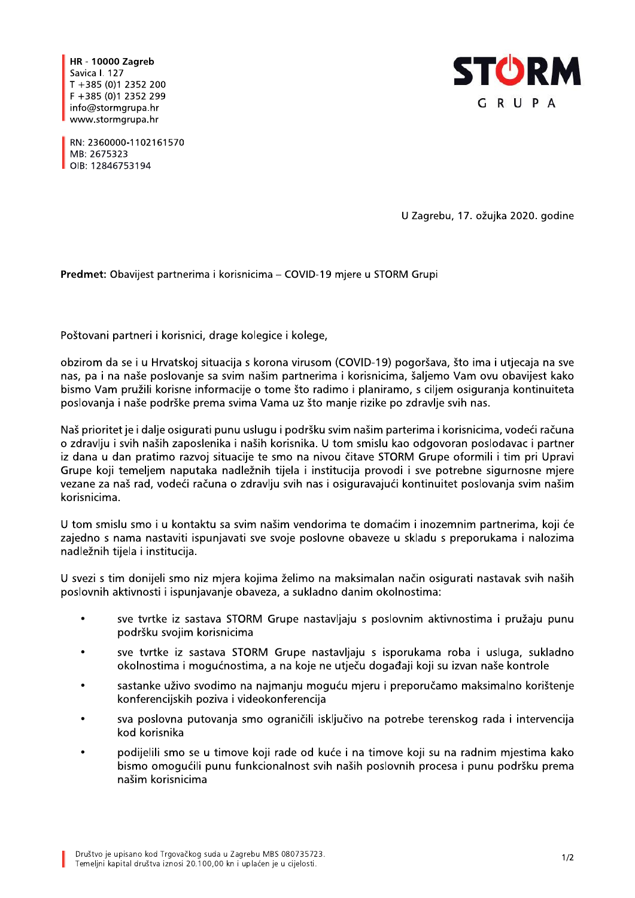**HR - 10000 Zagreb** Savica I. 127  $T + 385(0)12352200$  $F + 385(0)12352299$ info@stormgrupa.hr www.stormgrupa.hr



RN: 2360000-1102161570 MB: 2675323 OIB: 12846753194

U Zagrebu, 17. ožujka 2020. godine

Predmet: Obavijest partnerima i korisnicima - COVID-19 mjere u STORM Grupi

Poštovani partneri i korisnici, drage kolegice i kolege,

obzirom da se i u Hrvatskoj situacija s korona virusom (COVID-19) pogoršava, što ima i utjecaja na sve nas, pa i na naše poslovanje sa svim našim partnerima i korisnicima, šaljemo Vam ovu obavijest kako bismo Vam pružili korisne informacije o tome što radimo i planiramo, s ciljem osiguranja kontinuiteta poslovanja i naše podrške prema svima Vama uz što manje rizike po zdravlje svih nas.

Naš prioritet je i dalje osigurati punu uslugu i podršku svim našim parterima i korisnicima, vodeći računa o zdravlju i svih naših zaposlenika i naših korisnika. U tom smislu kao odgovoran poslodavac i partner iz dana u dan pratimo razvoj situacije te smo na nivou čitave STORM Grupe oformili i tim pri Upravi Grupe koji temeljem naputaka nadležnih tijela i institucija provodi i sve potrebne sigurnosne mjere vezane za naš rad, vodeći računa o zdravlju svih nas i osiguravajući kontinuitet poslovanja svim našim korisnicima.

U tom smislu smo i u kontaktu sa svim našim vendorima te domaćim i inozemnim partnerima, koji će zajedno s nama nastaviti ispunjavati sve svoje poslovne obaveze u skladu s preporukama i nalozima nadležnih tijela i institucija.

U svezi s tim donijeli smo niz mjera kojima želimo na maksimalan način osigurati nastavak svih naših poslovnih aktivnosti i ispunjavanje obaveza, a sukladno danim okolnostima:

- $\bullet$ sve tvrtke iz sastava STORM Grupe nastavljaju s poslovnim aktivnostima i pružaju punu podršku svojim korisnicima
- sve tvrtke iz sastava STORM Grupe nastavliaju s isporukama roba i usluga, sukladno  $\blacksquare$ okolnostima i mogućnostima, a na koje ne utječu događaji koji su izvan naše kontrole
- sastanke uživo svodimo na najmanju moguću mjeru i preporučamo maksimalno korištenje konferencijskih poziva i videokonferencija
- sva poslovna putovanja smo ograničili isključivo na potrebe terenskog rada i intervencija kod korisnika
- podijelili smo se u timove koji rade od kuće i na timove koji su na radnim mjestima kako bismo omogućili punu funkcionalnost svih naših poslovnih procesa i punu podršku prema našim korisnicima